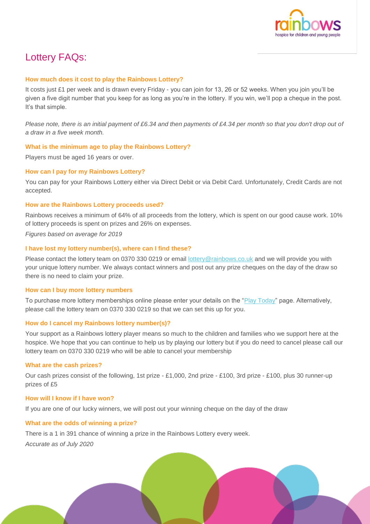

# Lottery FAQs:

## **How much does it cost to play the Rainbows Lottery?**

It costs just £1 per week and is drawn every Friday - you can join for 13, 26 or 52 weeks. When you join you'll be given a five digit number that you keep for as long as you're in the lottery. If you win, we'll pop a cheque in the post. It's that simple.

*Please note, there is an initial payment of £6.34 and then payments of £4.34 per month so that you don't drop out of a draw in a five week month.*

#### **What is the minimum age to play the Rainbows Lottery?**

Players must be aged 16 years or over.

## **How can I pay for my Rainbows Lottery?**

You can pay for your Rainbows Lottery either via Direct Debit or via Debit Card. Unfortunately, Credit Cards are not accepted.

## **How are the Rainbows Lottery proceeds used?**

Rainbows receives a minimum of 64% of all proceeds from the lottery, which is spent on our good cause work. 10% of lottery proceeds is spent on prizes and 26% on expenses.

*Figures based on average for 2019*

## **I have lost my lottery number(s), where can I find these?**

Please contact the lottery team on 0370 330 0219 or email<lottery@rainbows.co.uk> and we will provide you with your unique lottery number. We always contact winners and post out any prize cheques on the day of the draw so there is no need to claim your prize.

#### **How can I buy more lottery numbers**

To purchase more lottery memberships online please enter your details on the ["Play Today"](https://www.rainbows.co.uk/ways-you-can-help/rainbows-lottery/join-our-rainbows-lottery) page. Alternatively, please call the lottery team on 0370 330 0219 so that we can set this up for you.

#### **How do I cancel my Rainbows lottery number(s)?**

Your support as a Rainbows lottery player means so much to the children and families who we support here at the hospice. We hope that you can continue to help us by playing our lottery but if you do need to cancel please call our lottery team on 0370 330 0219 who will be able to cancel your membership

#### **What are the cash prizes?**

Our cash prizes consist of the following, 1st prize - £1,000, 2nd prize - £100, 3rd prize - £100, plus 30 runner-up prizes of £5

#### **How will I know if I have won?**

If you are one of our lucky winners, we will post out your winning cheque on the day of the draw

# **What are the odds of winning a prize?**

There is a 1 in 391 chance of winning a prize in the Rainbows Lottery every week. *Accurate as of July 2020*